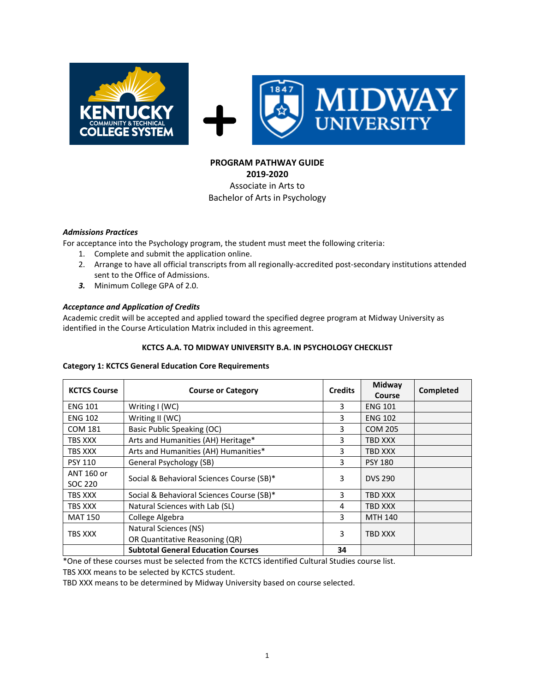

# **PROGRAM PATHWAY GUIDE 2019-2020** Associate in Arts to Bachelor of Arts in Psychology

## *Admissions Practices*

For acceptance into the Psychology program, the student must meet the following criteria:

- 1. Complete and submit the application online.
- 2. Arrange to have all official transcripts from all regionally-accredited post-secondary institutions attended sent to the Office of Admissions.
- *3.* Minimum College GPA of 2.0.

## *Acceptance and Application of Credits*

Academic credit will be accepted and applied toward the specified degree program at Midway University as identified in the Course Articulation Matrix included in this agreement.

## **KCTCS A.A. TO MIDWAY UNIVERSITY B.A. IN PSYCHOLOGY CHECKLIST**

### **Category 1: KCTCS General Education Core Requirements**

| <b>KCTCS Course</b>   | <b>Course or Category</b>                               | <b>Credits</b> | Midway<br>Course | Completed |
|-----------------------|---------------------------------------------------------|----------------|------------------|-----------|
| <b>ENG 101</b>        | Writing I (WC)                                          | 3              | <b>ENG 101</b>   |           |
| <b>ENG 102</b>        | Writing II (WC)                                         | 3              | <b>ENG 102</b>   |           |
| <b>COM 181</b>        | Basic Public Speaking (OC)                              | 3              | <b>COM 205</b>   |           |
| TBS XXX               | Arts and Humanities (AH) Heritage*                      | 3              | <b>TBD XXX</b>   |           |
| TBS XXX               | Arts and Humanities (AH) Humanities*                    | 3              | <b>TBD XXX</b>   |           |
| <b>PSY 110</b>        | General Psychology (SB)                                 | 3              | <b>PSY 180</b>   |           |
| ANT 160 or<br>SOC 220 | Social & Behavioral Sciences Course (SB)*               | 3              | <b>DVS 290</b>   |           |
| TBS XXX               | Social & Behavioral Sciences Course (SB)*               | 3              | TBD XXX          |           |
| TBS XXX               | Natural Sciences with Lab (SL)                          | 4              | <b>TBD XXX</b>   |           |
| <b>MAT 150</b>        | College Algebra                                         | 3              | <b>MTH 140</b>   |           |
| TBS XXX               | Natural Sciences (NS)<br>OR Quantitative Reasoning (QR) |                | <b>TBD XXX</b>   |           |
|                       | <b>Subtotal General Education Courses</b>               | 34             |                  |           |

\*One of these courses must be selected from the KCTCS identified Cultural Studies course list.

TBS XXX means to be selected by KCTCS student.

TBD XXX means to be determined by Midway University based on course selected.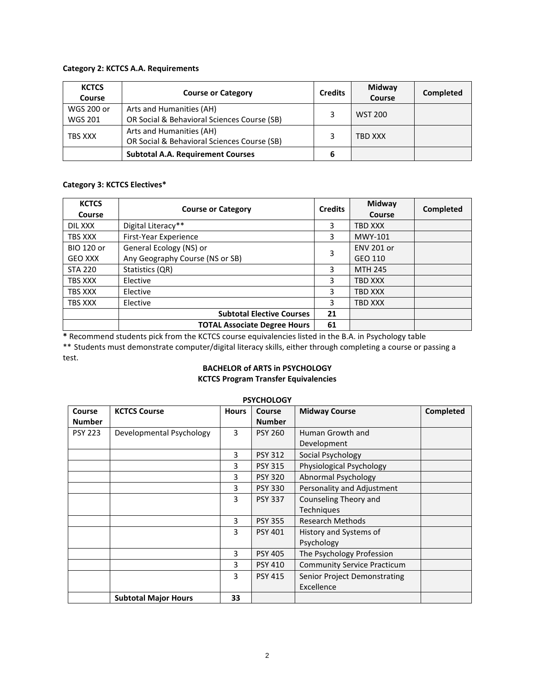## **Category 2: KCTCS A.A. Requirements**

| <b>KCTCS</b><br>Course | <b>Course or Category</b>                                               |   | <b>Midway</b><br>Course | Completed |
|------------------------|-------------------------------------------------------------------------|---|-------------------------|-----------|
| WGS 200 or             | Arts and Humanities (AH)                                                |   | <b>WST 200</b>          |           |
| <b>WGS 201</b>         | OR Social & Behavioral Sciences Course (SB)                             |   |                         |           |
| TBS XXX                | Arts and Humanities (AH)<br>OR Social & Behavioral Sciences Course (SB) |   | TBD XXX                 |           |
|                        | <b>Subtotal A.A. Requirement Courses</b>                                | 6 |                         |           |

# **Category 3: KCTCS Electives\***

| <b>KCTCS</b><br>Course | <b>Course or Category</b>           | <b>Credits</b> | Midway<br>Course  | Completed |
|------------------------|-------------------------------------|----------------|-------------------|-----------|
| DIL XXX                | Digital Literacy**                  | 3              | TBD XXX           |           |
| TBS XXX                | First-Year Experience               | 3              | MWY-101           |           |
| <b>BIO 120 or</b>      | General Ecology (NS) or             |                | <b>ENV 201 or</b> |           |
| <b>GEO XXX</b>         | Any Geography Course (NS or SB)     | 3              | GEO 110           |           |
| <b>STA 220</b>         | Statistics (QR)                     | 3              | <b>MTH 245</b>    |           |
| TBS XXX                | Elective                            |                | TBD XXX           |           |
| <b>TBS XXX</b>         | Elective                            |                | TBD XXX           |           |
| TBS XXX                | Elective                            | 3              | TBD XXX           |           |
|                        | <b>Subtotal Elective Courses</b>    | 21             |                   |           |
|                        | <b>TOTAL Associate Degree Hours</b> | 61             |                   |           |

**\*** Recommend students pick from the KCTCS course equivalencies listed in the B.A. in Psychology table \*\* Students must demonstrate computer/digital literacy skills, either through completing a course or passing a test.

# **BACHELOR of ARTS in PSYCHOLOGY**

# **KCTCS Program Transfer Equivalencies**

|                | <b>PSYCHOLOGY</b>           |              |                |                                    |                  |  |  |  |
|----------------|-----------------------------|--------------|----------------|------------------------------------|------------------|--|--|--|
| Course         | <b>KCTCS Course</b>         | <b>Hours</b> | Course         | <b>Midway Course</b>               | <b>Completed</b> |  |  |  |
| <b>Number</b>  |                             |              | <b>Number</b>  |                                    |                  |  |  |  |
| <b>PSY 223</b> | Developmental Psychology    | 3            | <b>PSY 260</b> | Human Growth and                   |                  |  |  |  |
|                |                             |              |                | Development                        |                  |  |  |  |
|                |                             | 3            | <b>PSY 312</b> | Social Psychology                  |                  |  |  |  |
|                |                             | 3            | <b>PSY 315</b> | Physiological Psychology           |                  |  |  |  |
|                |                             | 3            | <b>PSY 320</b> | Abnormal Psychology                |                  |  |  |  |
|                |                             | 3            | <b>PSY 330</b> | Personality and Adjustment         |                  |  |  |  |
|                |                             | 3            | <b>PSY 337</b> | Counseling Theory and              |                  |  |  |  |
|                |                             |              |                | Techniques                         |                  |  |  |  |
|                |                             | 3            | <b>PSY 355</b> | <b>Research Methods</b>            |                  |  |  |  |
|                |                             | 3            | <b>PSY 401</b> | History and Systems of             |                  |  |  |  |
|                |                             |              |                | Psychology                         |                  |  |  |  |
|                |                             | 3            | <b>PSY 405</b> | The Psychology Profession          |                  |  |  |  |
|                |                             | 3            | <b>PSY 410</b> | <b>Community Service Practicum</b> |                  |  |  |  |
|                |                             | 3            | <b>PSY 415</b> | Senior Project Demonstrating       |                  |  |  |  |
|                |                             |              |                | Excellence                         |                  |  |  |  |
|                | <b>Subtotal Major Hours</b> | 33           |                |                                    |                  |  |  |  |